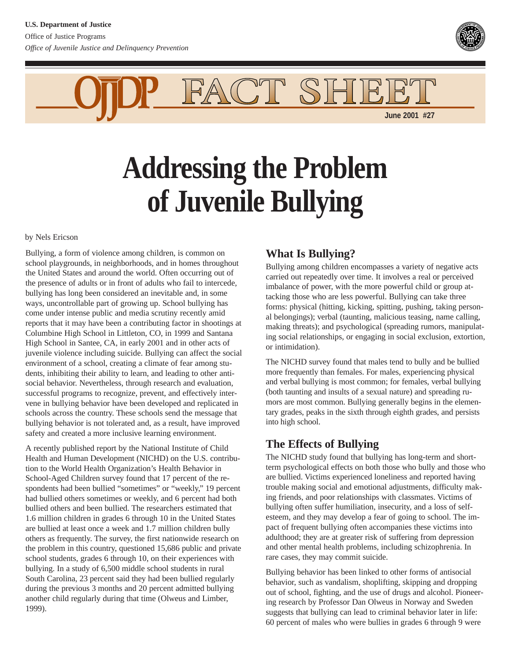

SHE. **June 2001 #27**

**Addressing the Problem of Juvenile Bullying**

FACT

by Nels Ericson

Bullying, a form of violence among children, is common on school playgrounds, in neighborhoods, and in homes throughout the United States and around the world. Often occurring out of the presence of adults or in front of adults who fail to intercede, bullying has long been considered an inevitable and, in some ways, uncontrollable part of growing up. School bullying has come under intense public and media scrutiny recently amid reports that it may have been a contributing factor in shootings at Columbine High School in Littleton, CO, in 1999 and Santana High School in Santee, CA, in early 2001 and in other acts of juvenile violence including suicide. Bullying can affect the social environment of a school, creating a climate of fear among students, inhibiting their ability to learn, and leading to other antisocial behavior. Nevertheless, through research and evaluation, successful programs to recognize, prevent, and effectively intervene in bullying behavior have been developed and replicated in schools across the country. These schools send the message that bullying behavior is not tolerated and, as a result, have improved safety and created a more inclusive learning environment.

A recently published report by the National Institute of Child Health and Human Development (NICHD) on the U.S. contribution to the World Health Organization's Health Behavior in School-Aged Children survey found that 17 percent of the respondents had been bullied "sometimes" or "weekly," 19 percent had bullied others sometimes or weekly, and 6 percent had both bullied others and been bullied. The researchers estimated that 1.6 million children in grades 6 through 10 in the United States are bullied at least once a week and 1.7 million children bully others as frequently. The survey, the first nationwide research on the problem in this country, questioned 15,686 public and private school students, grades 6 through 10, on their experiences with bullying. In a study of 6,500 middle school students in rural South Carolina, 23 percent said they had been bullied regularly during the previous 3 months and 20 percent admitted bullying another child regularly during that time (Olweus and Limber, 1999).

### **What Is Bullying?**

Bullying among children encompasses a variety of negative acts carried out repeatedly over time. It involves a real or perceived imbalance of power, with the more powerful child or group attacking those who are less powerful. Bullying can take three forms: physical (hitting, kicking, spitting, pushing, taking personal belongings); verbal (taunting, malicious teasing, name calling, making threats); and psychological (spreading rumors, manipulating social relationships, or engaging in social exclusion, extortion, or intimidation).

The NICHD survey found that males tend to bully and be bullied more frequently than females. For males, experiencing physical and verbal bullying is most common; for females, verbal bullying (both taunting and insults of a sexual nature) and spreading rumors are most common. Bullying generally begins in the elementary grades, peaks in the sixth through eighth grades, and persists into high school.

# **The Effects of Bullying**

The NICHD study found that bullying has long-term and shortterm psychological effects on both those who bully and those who are bullied. Victims experienced loneliness and reported having trouble making social and emotional adjustments, difficulty making friends, and poor relationships with classmates. Victims of bullying often suffer humiliation, insecurity, and a loss of selfesteem, and they may develop a fear of going to school. The impact of frequent bullying often accompanies these victims into adulthood; they are at greater risk of suffering from depression and other mental health problems, including schizophrenia. In rare cases, they may commit suicide.

Bullying behavior has been linked to other forms of antisocial behavior, such as vandalism, shoplifting, skipping and dropping out of school, fighting, and the use of drugs and alcohol. Pioneering research by Professor Dan Olweus in Norway and Sweden suggests that bullying can lead to criminal behavior later in life: 60 percent of males who were bullies in grades 6 through 9 were